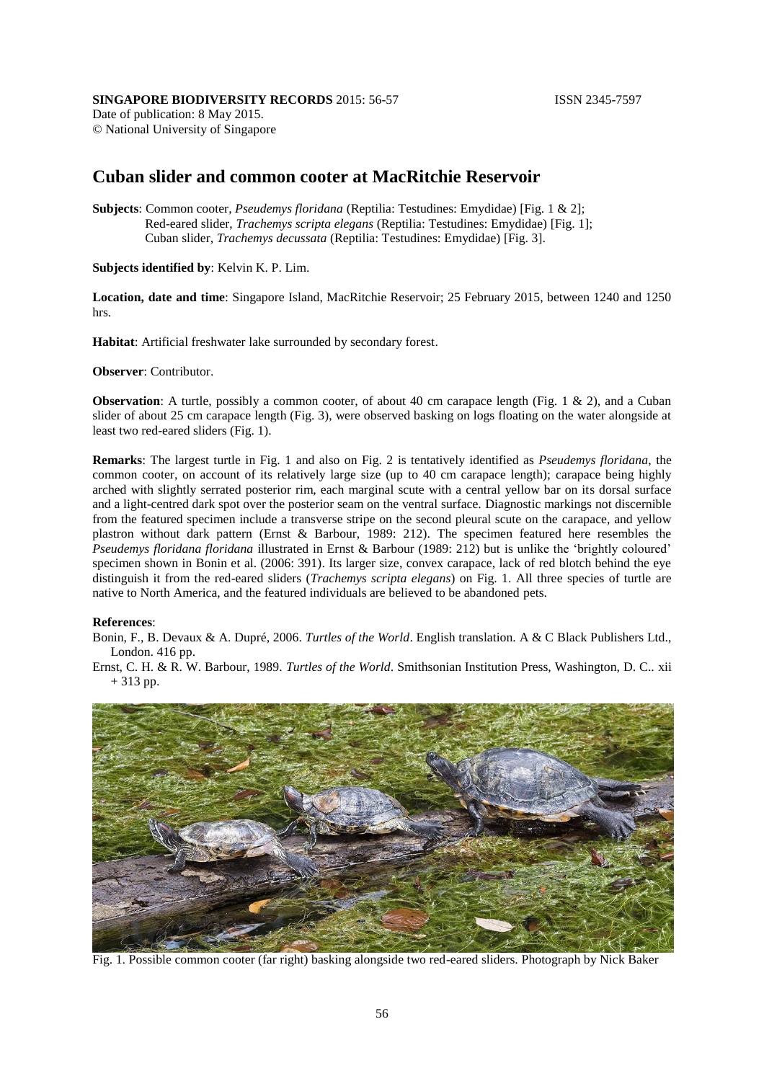Date of publication: 8 May 2015. © National University of Singapore

## **Cuban slider and common cooter at MacRitchie Reservoir**

**Subjects**: Common cooter, *Pseudemys floridana* (Reptilia: Testudines: Emydidae) [Fig. 1 & 2]; Red-eared slider, *Trachemys scripta elegans* (Reptilia: Testudines: Emydidae) [Fig. 1]; Cuban slider, *Trachemys decussata* (Reptilia: Testudines: Emydidae) [Fig. 3].

**Subjects identified by**: Kelvin K. P. Lim.

**Location, date and time**: Singapore Island, MacRitchie Reservoir; 25 February 2015, between 1240 and 1250 hrs.

**Habitat**: Artificial freshwater lake surrounded by secondary forest.

**Observer**: Contributor.

**Observation**: A turtle, possibly a common cooter, of about 40 cm carapace length (Fig. 1 & 2), and a Cuban slider of about 25 cm carapace length (Fig. 3), were observed basking on logs floating on the water alongside at least two red-eared sliders (Fig. 1).

**Remarks**: The largest turtle in Fig. 1 and also on Fig. 2 is tentatively identified as *Pseudemys floridana*, the common cooter, on account of its relatively large size (up to 40 cm carapace length); carapace being highly arched with slightly serrated posterior rim, each marginal scute with a central yellow bar on its dorsal surface and a light-centred dark spot over the posterior seam on the ventral surface. Diagnostic markings not discernible from the featured specimen include a transverse stripe on the second pleural scute on the carapace, and yellow plastron without dark pattern (Ernst & Barbour, 1989: 212). The specimen featured here resembles the *Pseudemys floridana floridana* illustrated in Ernst & Barbour (1989: 212) but is unlike the 'brightly coloured' specimen shown in Bonin et al. (2006: 391). Its larger size, convex carapace, lack of red blotch behind the eye distinguish it from the red-eared sliders (*Trachemys scripta elegans*) on Fig. 1. All three species of turtle are native to North America, and the featured individuals are believed to be abandoned pets.

## **References**:

Bonin, F., B. Devaux & A. Dupré, 2006. *Turtles of the World*. English translation. A & C Black Publishers Ltd., London. 416 pp.

Ernst, C. H. & R. W. Barbour, 1989. *Turtles of the World*. Smithsonian Institution Press, Washington, D. C.. xii + 313 pp.



Fig. 1. Possible common cooter (far right) basking alongside two red-eared sliders. Photograph by Nick Baker